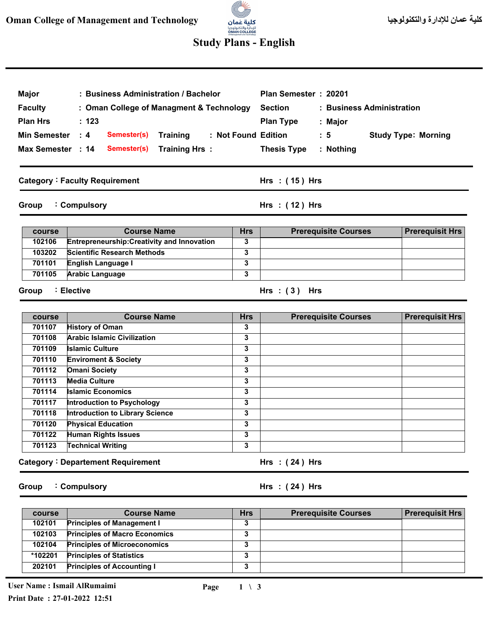# a. للإدارة والتكنولوجيا<br>**OMAN COLLEGE**<br>«Managementard Technology

## **Study Plans - English**

| <b>Major</b><br><b>Faculty</b><br><b>Plan Hrs</b><br><b>Min Semester</b><br>Max Semester : 14<br>Group | : Business Administration / Bachelor<br>: Oman College of Managment & Technology<br>: 123<br>$\therefore$ 4<br>Semester(s)<br><b>Training</b><br><b>Training Hrs:</b><br>Semester(s)<br><b>Category: Faculty Requirement</b><br>: Compulsory |                         | Plan Semester: 20201<br><b>Section</b><br>: Business Administration<br><b>Plan Type</b><br>: Major<br>: Not Found Edition<br>: 5<br><b>Thesis Type</b><br>: Nothing<br>Hrs : (15) Hrs<br>Hrs: (12) Hrs | <b>Study Type: Morning</b> |
|--------------------------------------------------------------------------------------------------------|----------------------------------------------------------------------------------------------------------------------------------------------------------------------------------------------------------------------------------------------|-------------------------|--------------------------------------------------------------------------------------------------------------------------------------------------------------------------------------------------------|----------------------------|
|                                                                                                        |                                                                                                                                                                                                                                              |                         |                                                                                                                                                                                                        |                            |
| course                                                                                                 | <b>Course Name</b>                                                                                                                                                                                                                           | <b>Hrs</b>              | <b>Prerequisite Courses</b>                                                                                                                                                                            | <b>Prerequisit Hrs</b>     |
| 102106<br>103202                                                                                       | <b>Entrepreneurship: Creativity and Innovation</b><br><b>Scientific Research Methods</b>                                                                                                                                                     | 3<br>3                  |                                                                                                                                                                                                        |                            |
| 701101                                                                                                 |                                                                                                                                                                                                                                              | $\overline{\mathbf{3}}$ |                                                                                                                                                                                                        |                            |
| 701105                                                                                                 | English Language I<br><b>Arabic Language</b>                                                                                                                                                                                                 |                         |                                                                                                                                                                                                        |                            |
| Group                                                                                                  | : Elective                                                                                                                                                                                                                                   |                         | Hrs: $(3)$ Hrs                                                                                                                                                                                         |                            |
| course                                                                                                 | <b>Course Name</b><br><b>History of Oman</b>                                                                                                                                                                                                 | Hrs<br>3                | <b>Prerequisite Courses</b>                                                                                                                                                                            | <b>Prerequisit Hrs</b>     |
| 701107<br>701108                                                                                       | <b>Arabic Islamic Civilization</b>                                                                                                                                                                                                           | 3                       |                                                                                                                                                                                                        |                            |
| 701109                                                                                                 | <b>Islamic Culture</b>                                                                                                                                                                                                                       | 3                       |                                                                                                                                                                                                        |                            |
| 701110                                                                                                 | <b>Enviroment &amp; Society</b>                                                                                                                                                                                                              | $\overline{\mathbf{3}}$ |                                                                                                                                                                                                        |                            |
| 701112                                                                                                 | <b>Omani Society</b>                                                                                                                                                                                                                         | 3                       |                                                                                                                                                                                                        |                            |
| 701113                                                                                                 | <b>Media Culture</b>                                                                                                                                                                                                                         | 3                       |                                                                                                                                                                                                        |                            |
| 701114                                                                                                 | <b>Islamic Economics</b>                                                                                                                                                                                                                     | 3                       |                                                                                                                                                                                                        |                            |
| 701117                                                                                                 | Introduction to Psychology                                                                                                                                                                                                                   | 3                       |                                                                                                                                                                                                        |                            |
| 701118                                                                                                 | <b>Introduction to Library Science</b>                                                                                                                                                                                                       | 3                       |                                                                                                                                                                                                        |                            |
| 701120                                                                                                 | <b>Physical Education</b>                                                                                                                                                                                                                    | 3                       |                                                                                                                                                                                                        |                            |
| 701122                                                                                                 | <b>Human Rights Issues</b>                                                                                                                                                                                                                   | $\overline{\mathbf{3}}$ |                                                                                                                                                                                                        |                            |
| 701123                                                                                                 | <b>Technical Writing</b>                                                                                                                                                                                                                     | 3                       |                                                                                                                                                                                                        |                            |
|                                                                                                        | <b>Category: Departement Requirement</b>                                                                                                                                                                                                     |                         | Hrs $:(24)$ Hrs                                                                                                                                                                                        |                            |

**Group Compulsory :**

#### **( 24 ) Hrs : Hrs**

| course  | <b>Course Name</b>                   | <b>Hrs</b> | <b>Prerequisite Courses</b> | <b>Prerequisit Hrs</b> |
|---------|--------------------------------------|------------|-----------------------------|------------------------|
| 102101  | <b>Principles of Management I</b>    | v.         |                             |                        |
| 102103  | <b>Principles of Macro Economics</b> |            |                             |                        |
| 102104  | <b>Principles of Microeconomics</b>  | v.         |                             |                        |
| *102201 | <b>Principles of Statistics</b>      | - 1        |                             |                        |
| 202101  | <b>Principles of Accounting I</b>    |            |                             |                        |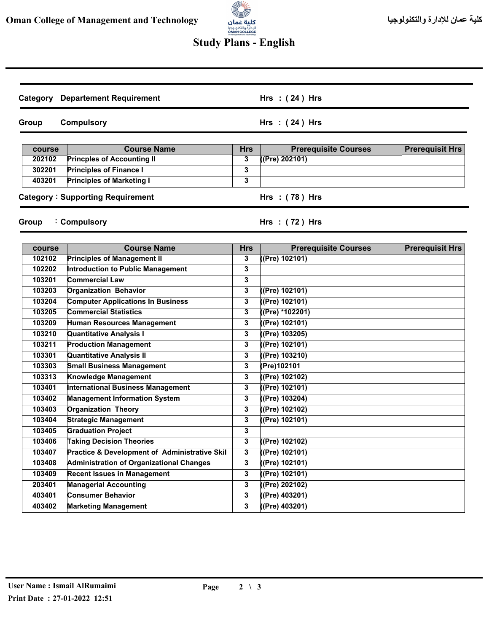

## **Study Plans - English**

| Category         | <b>Departement Requirement</b>                  |                 | Hrs $:(24)$ Hrs                               |                        |
|------------------|-------------------------------------------------|-----------------|-----------------------------------------------|------------------------|
| Group            | <b>Compulsory</b>                               |                 | Hrs $:(24)$ Hrs                               |                        |
|                  | <b>Course Name</b>                              |                 |                                               |                        |
| course<br>202102 | <b>Princples of Accounting II</b>               | <b>Hrs</b><br>3 | <b>Prerequisite Courses</b><br>((Pre) 202101) | <b>Prerequisit Hrs</b> |
| 302201           | <b>Principles of Finance I</b>                  | 3               |                                               |                        |
| 403201           | <b>Principles of Marketing I</b>                | 3               |                                               |                        |
|                  |                                                 |                 |                                               |                        |
|                  | <b>Category: Supporting Requirement</b>         |                 | Hrs: (78) Hrs                                 |                        |
| Group            | : Compulsory                                    |                 | Hrs: $(72)$ Hrs                               |                        |
| course           | <b>Course Name</b>                              | <b>Hrs</b>      | <b>Prerequisite Courses</b>                   | <b>Prerequisit Hrs</b> |
| 102102           | <b>Principles of Management II</b>              | 3               | ((Pre) 102101)                                |                        |
| 102202           | <b>Introduction to Public Management</b>        | 3               |                                               |                        |
| 103201           | <b>Commercial Law</b>                           | 3               |                                               |                        |
| 103203           | <b>Organization Behavior</b>                    | 3               | ((Pre) 102101)                                |                        |
| 103204           | <b>Computer Applications In Business</b>        | 3               | ((Pre) 102101)                                |                        |
| 103205           | <b>Commercial Statistics</b>                    | 3               | ((Pre) *102201)                               |                        |
| 103209           | <b>Human Resources Management</b>               | 3               | ((Pre) 102101)                                |                        |
| 103210           | Quantitative Analysis I                         | 3               | ((Pre) 103205)                                |                        |
| 103211           | <b>Production Management</b>                    | 3               | ((Pre) 102101)                                |                        |
| 103301           | Quantitative Analysis II                        | 3               | ((Pre) 103210)                                |                        |
| 103303           | <b>Small Business Management</b>                | 3               | (Pre)102101                                   |                        |
| 103313           | Knowledge Management                            | 3               | ((Pre) 102102)                                |                        |
| 103401           | <b>International Business Management</b>        | 3               | ((Pre) 102101)                                |                        |
| 103402           | <b>Management Information System</b>            | 3               | ((Pre) 103204)                                |                        |
| 103403           | <b>Organization Theory</b>                      | 3               | ((Pre) 102102)                                |                        |
| 103404           | <b>Strategic Management</b>                     | 3               | (Pre) 102101)                                 |                        |
| 103405           | <b>Graduation Project</b>                       | 3               |                                               |                        |
| 103406           | <b>Taking Decision Theories</b>                 | 3               | (Pre) 102102)                                 |                        |
| 103407           | Practice & Development of Administrative Skil   | $\mathbf{3}$    | (Pre) 102101)                                 |                        |
| 103408           | <b>Administration of Organizational Changes</b> | 3               | (Pre) 102101)                                 |                        |
| 103409           | <b>Recent Issues in Management</b>              | $\mathbf{3}$    | ((Pre) 102101)                                |                        |
| 203401           | <b>Managerial Accounting</b>                    | 3               | ((Pre) 202102)                                |                        |
| 403401           | <b>Consumer Behavior</b>                        | 3               | ((Pre) 403201)                                |                        |
| 403402           | <b>Marketing Management</b>                     | 3               | ((Pre) 403201)                                |                        |